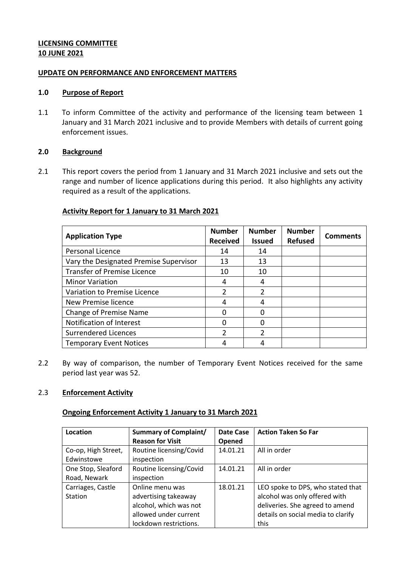## **LICENSING COMMITTEE 10 JUNE 2021**

#### **UPDATE ON PERFORMANCE AND ENFORCEMENT MATTERS**

#### **1.0 Purpose of Report**

1.1 To inform Committee of the activity and performance of the licensing team between 1 January and 31 March 2021 inclusive and to provide Members with details of current going enforcement issues.

### **2.0 Background**

2.1 This report covers the period from 1 January and 31 March 2021 inclusive and sets out the range and number of licence applications during this period. It also highlights any activity required as a result of the applications.

## **Activity Report for 1 January to 31 March 2021**

| <b>Application Type</b>                | <b>Number</b><br><b>Received</b> | <b>Number</b><br><b>Issued</b> | <b>Number</b><br><b>Refused</b> | <b>Comments</b> |
|----------------------------------------|----------------------------------|--------------------------------|---------------------------------|-----------------|
| Personal Licence                       | 14                               | 14                             |                                 |                 |
| Vary the Designated Premise Supervisor | 13                               | 13                             |                                 |                 |
| <b>Transfer of Premise Licence</b>     | 10                               | 10                             |                                 |                 |
| <b>Minor Variation</b>                 | 4                                | 4                              |                                 |                 |
| Variation to Premise Licence           | $\mathcal{P}$                    | 2                              |                                 |                 |
| New Premise licence                    | 4                                |                                |                                 |                 |
| Change of Premise Name                 | n                                |                                |                                 |                 |
| Notification of Interest               | O                                |                                |                                 |                 |
| Surrendered Licences                   | $\mathcal{P}$                    |                                |                                 |                 |
| <b>Temporary Event Notices</b>         | 4                                |                                |                                 |                 |

2.2 By way of comparison, the number of Temporary Event Notices received for the same period last year was 52.

### 2.3 **Enforcement Activity**

#### **Ongoing Enforcement Activity 1 January to 31 March 2021**

| Location            | <b>Summary of Complaint/</b> | Date Case | <b>Action Taken So Far</b>         |
|---------------------|------------------------------|-----------|------------------------------------|
|                     | <b>Reason for Visit</b>      | Opened    |                                    |
| Co-op, High Street, | Routine licensing/Covid      | 14.01.21  | All in order                       |
| Edwinstowe          | inspection                   |           |                                    |
| One Stop, Sleaford  | Routine licensing/Covid      | 14.01.21  | All in order                       |
| Road, Newark        | inspection                   |           |                                    |
| Carriages, Castle   | Online menu was              | 18.01.21  | LEO spoke to DPS, who stated that  |
| Station             | advertising takeaway         |           | alcohol was only offered with      |
|                     | alcohol, which was not       |           | deliveries. She agreed to amend    |
|                     | allowed under current        |           | details on social media to clarify |
|                     | lockdown restrictions.       |           | this                               |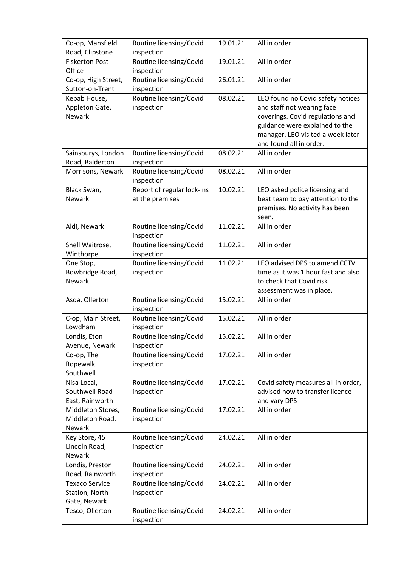| Co-op, Mansfield<br>Road, Clipstone   | Routine licensing/Covid<br>inspection | 19.01.21 | All in order                        |
|---------------------------------------|---------------------------------------|----------|-------------------------------------|
| <b>Fiskerton Post</b>                 | Routine licensing/Covid               | 19.01.21 | All in order                        |
| Office                                | inspection                            |          |                                     |
| Co-op, High Street,                   | Routine licensing/Covid               | 26.01.21 | All in order                        |
| Sutton-on-Trent                       | inspection                            |          |                                     |
| Kebab House,                          | Routine licensing/Covid               | 08.02.21 | LEO found no Covid safety notices   |
| Appleton Gate,                        | inspection                            |          | and staff not wearing face          |
| Newark                                |                                       |          | coverings. Covid regulations and    |
|                                       |                                       |          | guidance were explained to the      |
|                                       |                                       |          | manager. LEO visited a week later   |
|                                       |                                       |          | and found all in order.             |
| Sainsburys, London<br>Road, Balderton | Routine licensing/Covid<br>inspection | 08.02.21 | All in order                        |
| Morrisons, Newark                     | Routine licensing/Covid               | 08.02.21 | All in order                        |
|                                       | inspection                            |          |                                     |
| Black Swan,                           | Report of regular lock-ins            | 10.02.21 | LEO asked police licensing and      |
| Newark                                | at the premises                       |          | beat team to pay attention to the   |
|                                       |                                       |          | premises. No activity has been      |
|                                       |                                       |          | seen.                               |
| Aldi, Newark                          | Routine licensing/Covid<br>inspection | 11.02.21 | All in order                        |
| Shell Waitrose,                       | Routine licensing/Covid               | 11.02.21 | All in order                        |
| Winthorpe                             | inspection                            |          |                                     |
| One Stop,                             | Routine licensing/Covid               | 11.02.21 | LEO advised DPS to amend CCTV       |
| Bowbridge Road,                       | inspection                            |          | time as it was 1 hour fast and also |
| <b>Newark</b>                         |                                       |          | to check that Covid risk            |
|                                       |                                       |          | assessment was in place.            |
| Asda, Ollerton                        | Routine licensing/Covid               | 15.02.21 | All in order                        |
|                                       | inspection                            | 15.02.21 | All in order                        |
| C-op, Main Street,<br>Lowdham         | Routine licensing/Covid<br>inspection |          |                                     |
| Londis, Eton                          | Routine licensing/Covid               | 15.02.21 | All in order                        |
| Avenue, Newark                        | inspection                            |          |                                     |
| Co-op, The                            | Routine licensing/Covid               | 17.02.21 | All in order                        |
| Ropewalk,                             | inspection                            |          |                                     |
| Southwell                             |                                       |          |                                     |
| Nisa Local,                           | Routine licensing/Covid               | 17.02.21 | Covid safety measures all in order, |
| Southwell Road                        | inspection                            |          | advised how to transfer licence     |
| East, Rainworth                       |                                       |          | and vary DPS                        |
| Middleton Stores,                     | Routine licensing/Covid               | 17.02.21 | All in order                        |
| Middleton Road,                       | inspection                            |          |                                     |
| Newark                                |                                       |          |                                     |
| Key Store, 45                         | Routine licensing/Covid               | 24.02.21 | All in order                        |
| Lincoln Road,                         | inspection                            |          |                                     |
| <b>Newark</b>                         |                                       |          |                                     |
| Londis, Preston                       | Routine licensing/Covid               | 24.02.21 | All in order                        |
| Road, Rainworth                       | inspection                            |          |                                     |
| <b>Texaco Service</b>                 | Routine licensing/Covid               | 24.02.21 | All in order                        |
| Station, North                        | inspection                            |          |                                     |
| Gate, Newark                          |                                       |          |                                     |
| Tesco, Ollerton                       | Routine licensing/Covid               | 24.02.21 | All in order                        |
|                                       | inspection                            |          |                                     |